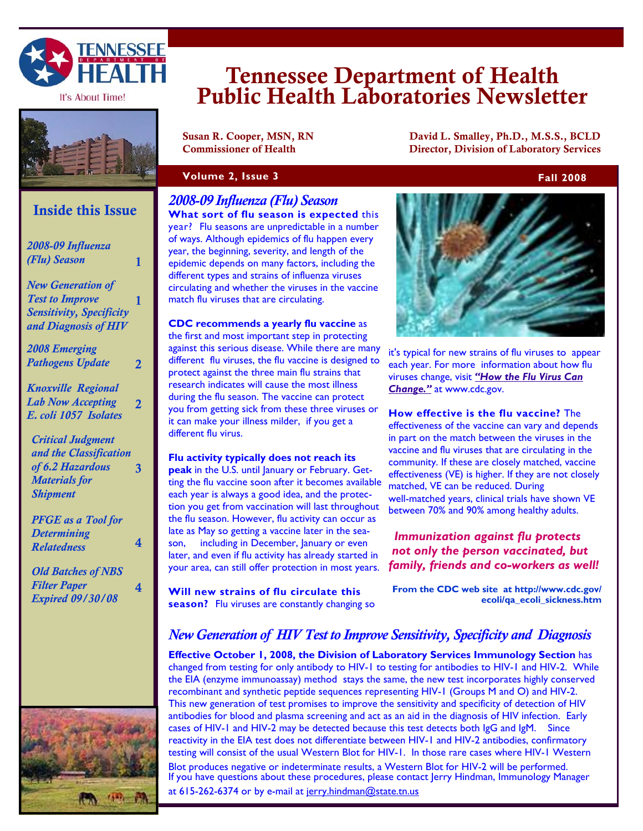

It's About Time!



## **Inside this Issue**

| 2008-09 Influenza<br>(Flu) Season                                                                                 | 1 |
|-------------------------------------------------------------------------------------------------------------------|---|
| <b>New Generation of</b><br><b>Test to Improve</b><br>Sensitivity, Specificity<br>and Diagnosis of HIV            | 1 |
| <b>2008 Emerging</b><br><b>Pathogens Update</b>                                                                   | 2 |
| <b>Knoxville Regional</b><br><b>Lab Now Accepting</b><br>E. coli 1057 Isolates                                    |   |
| <b>Critical Judgment</b><br>and the Classification<br>of 6.2 Hazardous<br><b>Materials for</b><br><b>Shipment</b> | 3 |
| <b>PFGE</b> as a Tool for<br><b>Determining</b><br><b>Relatedness</b>                                             | 4 |
| <b>Old Batches of NBS</b><br><b>Filter Paper</b><br><b>Expired 09/30/08</b>                                       | 4 |
|                                                                                                                   |   |
|                                                                                                                   |   |



# Tennessee Department of Health Public Health Laboratories Newsletter

Susan R. Cooper, MSN, RN David L. Smalley, Ph.D., M.S.S., BCLD Commissioner of Health Director, Division of Laboratory Services

#### **Volume 2, Issue 3** Fall 2008 **Fall 2008**

*2008-09 Influenza (Flu) Season*  **What sort of flu season is expected** this year? Flu seasons are unpredictable in a number of ways. Although epidemics of flu happen every year, the beginning, severity, and length of the epidemic depends on many factors, including the different types and strains of influenza viruses circulating and whether the viruses in the vaccine match flu viruses that are circulating.

**CDC recommends a yearly flu vaccine** as the first and most important step in protecting against this serious disease. While there are many different flu viruses, the flu vaccine is designed to protect against the three main flu strains that research indicates will cause the most illness during the flu season. The vaccine can protect you from getting sick from these three viruses or it can make your illness milder, if you get a different flu virus.

**Flu activity typically does not reach its peak** in the U.S. until January or February. Getting the flu vaccine soon after it becomes available each year is always a good idea, and the protection you get from vaccination will last throughout the flu season. However, flu activity can occur as late as May so getting a vaccine later in the season, including in December, January or even later, and even if flu activity has already started in your area, can still offer protection in most years.

**Will new strains of flu circulate this season?** Flu viruses are constantly changing so



it's typical for new strains of flu viruses to appear each year. For more information about how flu viruses change, visit *"How the Flu Virus Can Change."* at www.cdc.gov.

**How effective is the flu vaccine?** The effectiveness of the vaccine can vary and depends in part on the match between the viruses in the vaccine and flu viruses that are circulating in the community. If these are closely matched, vaccine effectiveness (VE) is higher. If they are not closely matched, VE can be reduced. During well-matched years, clinical trials have shown VE between 70% and 90% among healthy adults.

#### *Immunization against flu protects not only the person vaccinated, but family, friends and co-workers as well!*

**From the CDC web site at http://www.cdc.gov/ ecoli/qa\_ecoli\_sickness.htm**

## *New Generation of HIV Test to Improve Sensitivity, Specificity and Diagnosis*

**Effective October 1, 2008, the Division of Laboratory Services Immunology Section** has changed from testing for only antibody to HIV-1 to testing for antibodies to HIV-1 and HIV-2. While the EIA (enzyme immunoassay) method stays the same, the new test incorporates highly conserved recombinant and synthetic peptide sequences representing HIV-1 (Groups M and O) and HIV-2. This new generation of test promises to improve the sensitivity and specificity of detection of HIV antibodies for blood and plasma screening and act as an aid in the diagnosis of HIV infection. Early cases of HIV-1 and HIV-2 may be detected because this test detects both IgG and IgM. Since reactivity in the EIA test does not differentiate between HIV-1 and HIV-2 antibodies, confirmatory testing will consist of the usual Western Blot for HIV-1. In those rare cases where HIV-1 Western Blot produces negative or indeterminate results, a Western Blot for HIV-2 will be performed. If you have questions about these procedures, please contact Jerry Hindman, Immunology Manager at 615-262-6374 or by e-mail at jerry.hindman@state.tn.us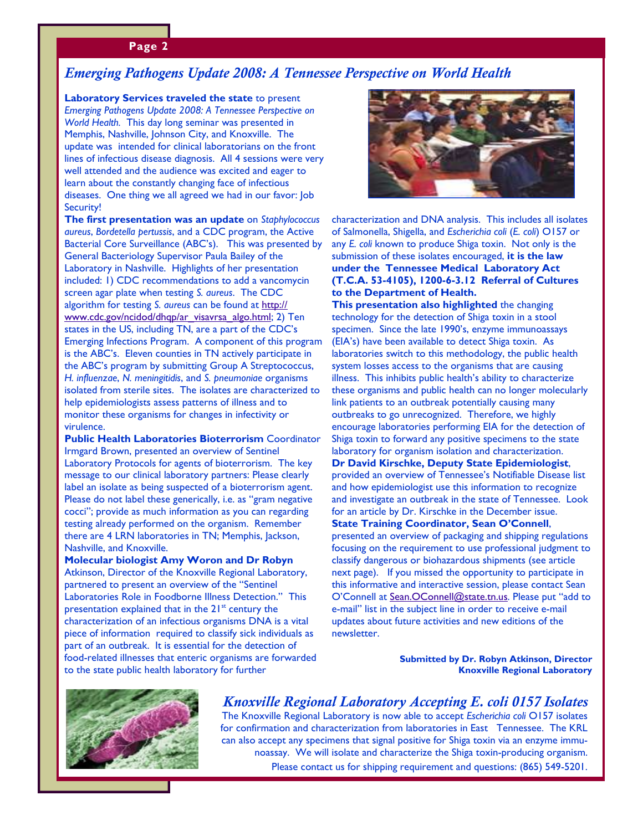#### **Page 2**

#### *Emerging Pathogens Update 2008: A Tennessee Perspective on World Health*

**Laboratory Services traveled the state** to present *Emerging Pathogens Update 2008: A Tennessee Perspective on World Health.* This day long seminar was presented in Memphis, Nashville, Johnson City, and Knoxville. The update was intended for clinical laboratorians on the front lines of infectious disease diagnosis. All 4 sessions were very well attended and the audience was excited and eager to learn about the constantly changing face of infectious diseases. One thing we all agreed we had in our favor: Job Security!

**The first presentation was an update** on *Staphylococcus aureus*, *Bordetella pertussis*, and a CDC program, the Active Bacterial Core Surveillance (ABC's). This was presented by General Bacteriology Supervisor Paula Bailey of the Laboratory in Nashville. Highlights of her presentation included: 1) CDC recommendations to add a vancomycin screen agar plate when testing *S. aureus*. The CDC algorithm for testing *S. aureus* can be found at http:// www.cdc.gov/ncidod/dhqp/ar\_visavrsa\_algo.html; 2) Ten states in the US, including TN, are a part of the CDC's Emerging Infections Program. A component of this program is the ABC's. Eleven counties in TN actively participate in the ABC's program by submitting Group A Streptococcus, *H. influenzae*, *N. meningitidis*, and *S. pneumoniae* organisms isolated from sterile sites. The isolates are characterized to help epidemiologists assess patterns of illness and to monitor these organisms for changes in infectivity or virulence.

**Public Health Laboratories Bioterrorism** Coordinator Irmgard Brown, presented an overview of Sentinel Laboratory Protocols for agents of bioterrorism. The key message to our clinical laboratory partners: Please clearly label an isolate as being suspected of a bioterrorism agent. Please do not label these generically, i.e. as "gram negative cocci"; provide as much information as you can regarding testing already performed on the organism. Remember there are 4 LRN laboratories in TN; Memphis, Jackson, Nashville, and Knoxville.

#### **Molecular biologist Amy Woron and Dr Robyn**  Atkinson, Director of the Knoxville Regional Laboratory,

partnered to present an overview of the "Sentinel Laboratories Role in Foodborne Illness Detection." This presentation explained that in the  $21<sup>st</sup>$  century the characterization of an infectious organisms DNA is a vital piece of information required to classify sick individuals as part of an outbreak. It is essential for the detection of food-related illnesses that enteric organisms are forwarded to the state public health laboratory for further



characterization and DNA analysis. This includes all isolates of Salmonella, Shigella, and *Escherichia coli* (*E. coli*) O157 or any *E. coli* known to produce Shiga toxin. Not only is the submission of these isolates encouraged, **it is the law under the Tennessee Medical Laboratory Act (T.C.A. 53-4105), 1200-6-3.12 Referral of Cultures to the Department of Health.** 

**This presentation also highlighted** the changing technology for the detection of Shiga toxin in a stool specimen. Since the late 1990's, enzyme immunoassays (EIA's) have been available to detect Shiga toxin. As laboratories switch to this methodology, the public health system losses access to the organisms that are causing illness. This inhibits public health's ability to characterize these organisms and public health can no longer molecularly link patients to an outbreak potentially causing many outbreaks to go unrecognized. Therefore, we highly encourage laboratories performing EIA for the detection of Shiga toxin to forward any positive specimens to the state laboratory for organism isolation and characterization. **Dr David Kirschke, Deputy State Epidemiologist**, provided an overview of Tennessee's Notifiable Disease list and how epidemiologist use this information to recognize and investigate an outbreak in the state of Tennessee. Look for an article by Dr. Kirschke in the December issue. **State Training Coordinator, Sean O'Connell**, presented an overview of packaging and shipping regulations focusing on the requirement to use professional judgment to classify dangerous or biohazardous shipments (see article next page). If you missed the opportunity to participate in this informative and interactive session, please contact Sean O'Connell at Sean.OConnell@state.tn.us. Please put "add to e-mail" list in the subject line in order to receive e-mail updates about future activities and new editions of the newsletter.

> **Submitted by Dr. Robyn Atkinson, Director Knoxville Regional Laboratory**



## *Knoxville Regional Laboratory Accepting E. coli 0157 Isolates*

The Knoxville Regional Laboratory is now able to accept *Escherichia coli* O157 isolates for confirmation and characterization from laboratories in East Tennessee. The KRL can also accept any specimens that signal positive for Shiga toxin via an enzyme immunoassay. We will isolate and characterize the Shiga toxin-producing organism.

Please contact us for shipping requirement and questions: (865) 549-5201.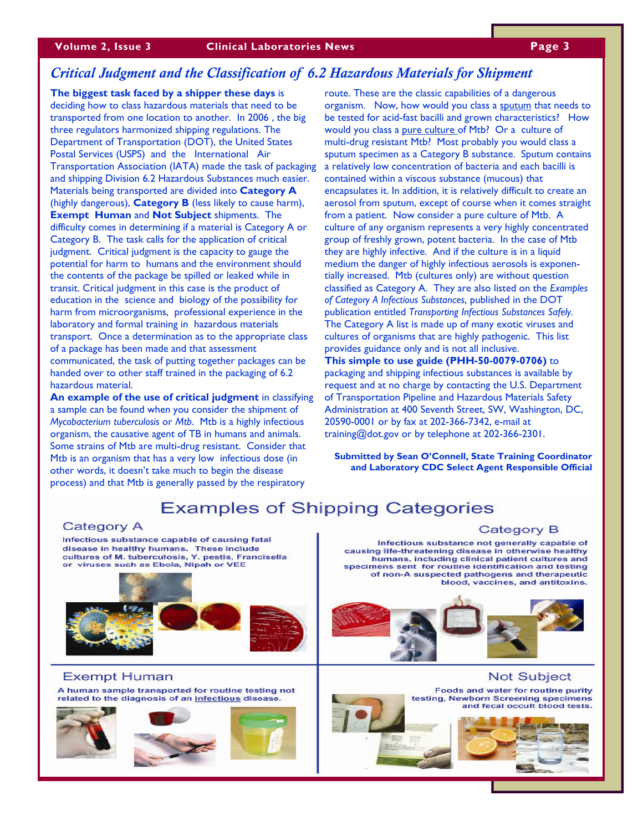#### *Critical Judgment and the Classification of 6.2 Hazardous Materials for Shipment*

**The biggest task faced by a shipper these days** is deciding how to class hazardous materials that need to be transported from one location to another. In 2006 , the big three regulators harmonized shipping regulations. The Department of Transportation (DOT), the United States Postal Services (USPS) and the International Air Transportation Association (IATA) made the task of packaging and shipping Division 6.2 Hazardous Substances much easier. Materials being transported are divided into **Category A**  (highly dangerous), **Category B** (less likely to cause harm), **Exempt Human** and **Not Subject** shipments. The difficulty comes in determining if a material is Category A or Category B. The task calls for the application of critical judgment. Critical judgment is the capacity to gauge the potential for harm to humans and the environment should the contents of the package be spilled or leaked while in transit. Critical judgment in this case is the product of education in the science and biology of the possibility for harm from microorganisms, professional experience in the laboratory and formal training in hazardous materials transport. Once a determination as to the appropriate class of a package has been made and that assessment communicated, the task of putting together packages can be handed over to other staff trained in the packaging of 6.2 hazardous material.

**An example of the use of critical judgment** in classifying a sample can be found when you consider the shipment of *Mycobacterium tuberculosis* or *Mtb*. Mtb is a highly infectious organism, the causative agent of TB in humans and animals. Some strains of Mtb are multi-drug resistant. Consider that Mtb is an organism that has a very low infectious dose (in other words, it doesn't take much to begin the disease process) and that Mtb is generally passed by the respiratory

route. These are the classic capabilities of a dangerous organism. Now, how would you class a sputum that needs to be tested for acid-fast bacilli and grown characteristics? How would you class a pure culture of Mtb? Or a culture of multi-drug resistant Mtb? Most probably you would class a sputum specimen as a Category B substance. Sputum contains a relatively low concentration of bacteria and each bacilli is contained within a viscous substance (mucous) that encapsulates it. In addition, it is relatively difficult to create an aerosol from sputum, except of course when it comes straight from a patient. Now consider a pure culture of Mtb. A culture of any organism represents a very highly concentrated group of freshly grown, potent bacteria. In the case of Mtb they are highly infective. And if the culture is in a liquid medium the danger of highly infectious aerosols is exponentially increased. Mtb (cultures only) are without question classified as Category A. They are also listed on the *Examples of Category A Infectious Substances*, published in the DOT publication entitled *Transporting Infectious Substances Safely.*  The Category A list is made up of many exotic viruses and cultures of organisms that are highly pathogenic. This list provides guidance only and is not all inclusive. **This simple to use guide (PHH-50-0079-0706)** to

packaging and shipping infectious substances is available by request and at no charge by contacting the U.S. Department of Transportation Pipeline and Hazardous Materials Safety Administration at 400 Seventh Street, SW, Washington, DC, 20590-0001 or by fax at 202-366-7342, e-mail at training@dot.gov or by telephone at 202-366-2301.

**Submitted by Sean O'Connell, State Training Coordinator and Laboratory CDC Select Agent Responsible Official** 

# **Examples of Shipping Categories**